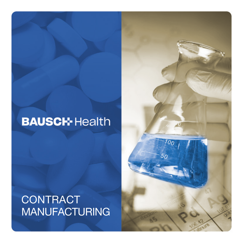# **BAUSCH-Health**

# **CONTRACT** MANUFACTURING

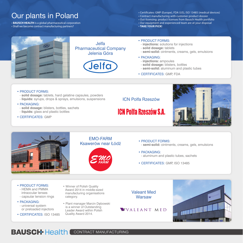# Our plants in Poland

• **BAUSCH HEALTH** is a global pharmaceutical corporation • Shall we become contract manufacturing partners?

• Certificates: GMP (Europe), FDA (US), ISO 13485 (medical devices)

- Contract manufacturing with customer product dossier
- Out-licensing: product licenses from Bausch Health portfolio
- Our equipment and experienced team are at your disposal
- **TAKE YOUR PICK!**



Jelfa Pharmaceutical Company Jelenia Góra



#### • PRODUCT FORMS:

- **injections:** solutions for injections
- **solid dosage:** tablets
- **semi-solid:** ointments, creams, gels, emulsions

#### • PACKAGING:

- **injections:** ampoules
- **solid dosage:** blisters, bottles
- **semi-solid:** aluminum and plastic tubes
- CERTIFICATES: GMP, FDA

#### • PRODUCT FORMS:

- **solid dosage:** tablets, hard gelatine capsules, powders
- **liquids:** syrups, drops & sprays, emulsions, suspensions

#### • PACKAGING:

- **solid dosage:** blisters, bottles, sachets - **liquids:** glass and plastic bottles
- CERTIFICATES: GMP

#### ICN Polfa Rzeszów

# **ICN Polfa Rzeszów S A**





#### EMO-FARM Ksawerów near Łódź



#### • PRODUCT FORMS: - **semi-solid:** ointments, creams, gels, emulsions

• PACKAGING: - aluminum and plastic tubes, sachets

• CERTIFICATES: GMP. ISO 13485

- PRODUCT FORMS: - HEMA and PMMA intraocular lenses
- capsular tension rings
- PACKAGING: - universal system or preloaded injectors
- CERTIFICATES: ISO 13485
- Winner of Polish Quality Award 2014 in middle-sized manufacturing organisations category.
- Plant manager Marcin Dębowski is a winner of Outstanding Leader Award within Polish Quality Award 2014.

Valeant Med **Warsaw** 

VVALEANT MED



## **BAUSCH-Health CONTRACT MANUFACTURING**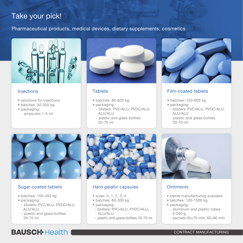# Take your pick!

### Pharmaceutical products, medical devices, dietary supplements, cosmetics



### **Injections**

- solutions for injections
- batches: 30-320 kg
- packaging:
	- ampoules 1-5 ml



### **Tablets**

- batches: 80-600 kg
- packaging:
	- blisters: PVC/ALU, PVDC/ALU, ALU/ALU
	- plastic and glass bottles 20-70 ml



### Film-coated tablets

- batches: 120-600 kg
- packaging:
- blisters: PVC/ALU, PVDC/ALU, ALU/ALU
- plastic and glass bottles 20-70 ml



### Sugar-coated tablets

- batches: 100-450 kg
- packaging:
	- blisters: PVC/ALU, PVDC/ALU, ALU/ALU
	- plastic and glass bottles 20-70 ml



### Hard gelatin capsules

- sizes: 0, 1, 2, 3, 4
- batches: 80-300 kg
- packaging:
- blisters: PVC/ALU, PVDC/ALU, ALU/ALU
- plastic and glass bottles 20-70 ml



### **Ointments**

- sterile manufacturing available
- batches: 100-1500 kg
- packaging:
	- aluminum and plastic tubes 3-200 g
	- sachets 35×75 mm, 60×80 mm

# **BAUSCH-Health**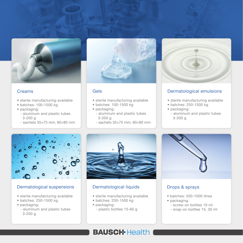

### Creams

- sterile manufacturing available
- batches: 100-1500 kg
- packaging:
	- aluminum and plastic tubes 3-200 g
	- $-$  sachets  $35\times75$  mm,  $60\times80$  mm



### Gels

- sterile manufacturing available
- batches: 100-1500 kg
- packaging:
	- aluminum and plastic tubes 3-200 g
- $-$  sachets  $35\times75$  mm,  $60\times80$  mm



### Dermatological emulsions

- sterile manufacturing available
- batches: 250-1500 kg
- packaging:
	- aluminum and plastic tubes 3-200 g



### Dermatological suspensions

- sterile manufacturing available
- batches: 250-1500 kg
- packaging:
	- aluminum and plastic tubes 3-200 g



### Dermatological liquids

- sterile manufacturing available
- batches: 250-1500 kg
- packaging:
	- plastic bottles 15-60 g



### Drops & sprays

- batches: 200-1000 litres
- packaging:
	- screw-on bottles 10 ml
	- snap-on bottles 15, 30 ml

## **BAUSCH-Health**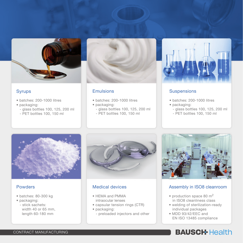

### Syrups

- batches: 200-1000 litres
- packaging:
- glass bottles 100, 125, 200 ml
- PET bottles 100, 150 ml



### Emulsions

- batches: 200-1000 litres
- packaging:
- glass bottles 100, 125, 200 ml
- PET bottles 100, 150 ml



### **Suspensions**

- batches: 200-1000 litres
- packaging:
	- glass bottles 100, 125, 200 ml
	- PET bottles 100, 150 ml



### Powders

- batches: 80-300 kg
- packaging:
	- stick sachets: width 40 or 65 mm, length 60-180 mm



### Medical devices

- HEMA and PMMA intraocular lenses
- capsular tension rings (CTR)
- packaging:
	- preloaded injectors and other



### Assembly in ISO8 cleanroom

- production space 80 m<sup>2</sup> in ISO8 cleanliness class
- welding of sterilization-ready individual packages
- MDD 93/42/EEC and EN ISO 13485 compliance

# **BAUSCH-Health**

#### CONTRACT MANUFACTURING